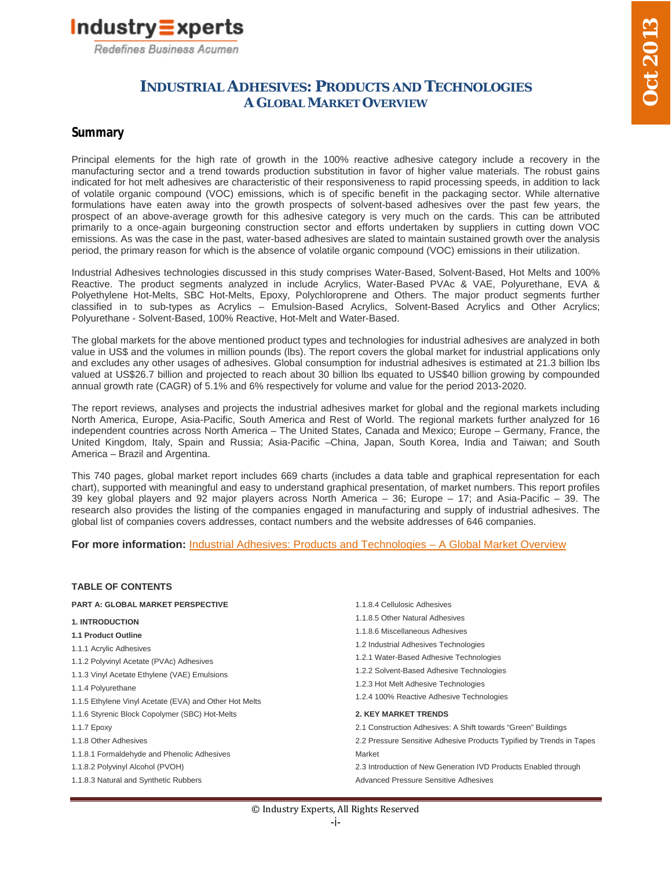

## **INDUSTRIAL ADHESIVES: PRODUCTS AND TECHNOLOGIES A GLOBAL MARKET OVERVIEW**

### **Summary**

Principal elements for the high rate of growth in the 100% reactive adhesive category include a recovery in the manufacturing sector and a trend towards production substitution in favor of higher value materials. The robust gains indicated for hot melt adhesives are characteristic of their responsiveness to rapid processing speeds, in addition to lack of volatile organic compound (VOC) emissions, which is of specific benefit in the packaging sector. While alternative formulations have eaten away into the growth prospects of solvent-based adhesives over the past few years, the prospect of an above-average growth for this adhesive category is very much on the cards. This can be attributed primarily to a once-again burgeoning construction sector and efforts undertaken by suppliers in cutting down VOC emissions. As was the case in the past, water-based adhesives are slated to maintain sustained growth over the analysis period, the primary reason for which is the absence of volatile organic compound (VOC) emissions in their utilization.

Industrial Adhesives technologies discussed in this study comprises Water-Based, Solvent-Based, Hot Melts and 100% Reactive. The product segments analyzed in include Acrylics, Water-Based PVAc & VAE, Polyurethane, EVA & Polyethylene Hot-Melts, SBC Hot-Melts, Epoxy, Polychloroprene and Others. The major product segments further classified in to sub-types as Acrylics – Emulsion-Based Acrylics, Solvent-Based Acrylics and Other Acrylics; Polyurethane - Solvent-Based, 100% Reactive, Hot-Melt and Water-Based.

The global markets for the above mentioned product types and technologies for industrial adhesives are analyzed in both value in US\$ and the volumes in million pounds (lbs). The report covers the global market for industrial applications only and excludes any other usages of adhesives. Global consumption for industrial adhesives is estimated at 21.3 billion lbs valued at US\$26.7 billion and projected to reach about 30 billion lbs equated to US\$40 billion growing by compounded annual growth rate (CAGR) of 5.1% and 6% respectively for volume and value for the period 2013-2020.

The report reviews, analyses and projects the industrial adhesives market for global and the regional markets including North America, Europe, Asia-Pacific, South America and Rest of World. The regional markets further analyzed for 16 independent countries across North America – The United States, Canada and Mexico; Europe – Germany, France, the United Kingdom, Italy, Spain and Russia; Asia-Pacific –China, Japan, South Korea, India and Taiwan; and South America – Brazil and Argentina.

This 740 pages, global market report includes 669 charts (includes a data table and graphical representation for each chart), supported with meaningful and easy to understand graphical presentation, of market numbers. This report profiles 39 key global players and 92 major players across North America – 36; Europe – 17; and Asia-Pacific – 39. The research also provides the listing of the companies engaged in manufacturing and supply of industrial adhesives. The global list of companies covers addresses, contact numbers and the website addresses of 646 companies.

**For more information:** Industrial Adhesives: Products and Technologies – A Global Market Overview

#### **TABLE OF CONTENTS PART A: GLOBAL MARKET PERSPECTIVE 1. INTRODUCTION 1.1 Product Outline** 1.1.1 Acrylic Adhesives 1.1.2 Polyvinyl Acetate (PVAc) Adhesives 1.1.3 Vinyl Acetate Ethylene (VAE) Emulsions 1.1.4 Polyurethane 1.1.5 Ethylene Vinyl Acetate (EVA) and Other Hot Melts 1.1.6 Styrenic Block Copolymer (SBC) Hot-Melts 1.1.7 Epoxy 1.1.8 Other Adhesives 1.1.8.1 Formaldehyde and Phenolic Adhesives 1.1.8.2 Polyvinyl Alcohol (PVOH) 1.1.8.3 Natural and Synthetic Rubbers 1.1.8.4 Cellulosic Adhesives 1.1.8.5 Other Natural Adhesives 1.1.8.6 Miscellaneous Adhesives 1.2 Industrial Adhesives Technologies 1.2.1 Water-Based Adhesive Technologies 1.2.2 Solvent-Based Adhesive Technologies 1.2.3 Hot Melt Adhesive Technologies 1.2.4 100% Reactive Adhesive Technologies **2. KEY MARKET TRENDS** 2.1 Construction Adhesives: A Shift towards "Green" Buildings 2.2 Pressure Sensitive Adhesive Products Typified by Trends in Tapes Market 2.3 Introduction of New Generation IVD Products Enabled through Advanced Pressure Sensitive Adhesives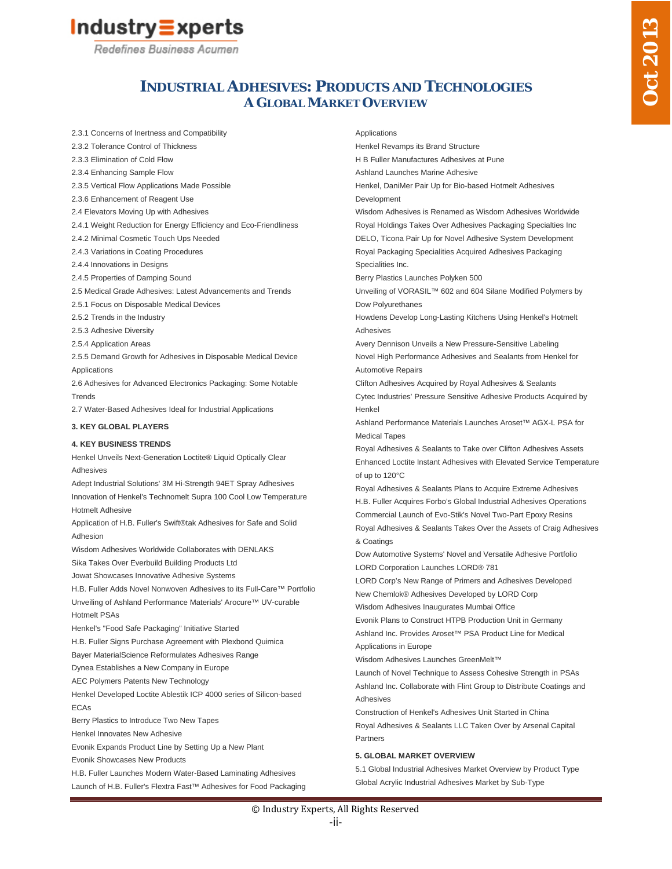

Redefines Business Acumen

# **INDUSTRIAL ADHESIVES: PRODUCTS AND TECHNOLOGIES A GLOBAL MARKET OVERVIEW**

2.3.1 Concerns of Inertness and Compatibility 2.3.2 Tolerance Control of Thickness 2.3.3 Elimination of Cold Flow 2.3.4 Enhancing Sample Flow 2.3.5 Vertical Flow Applications Made Possible 2.3.6 Enhancement of Reagent Use 2.4 Elevators Moving Up with Adhesives 2.4.1 Weight Reduction for Energy Efficiency and Eco-Friendliness 2.4.2 Minimal Cosmetic Touch Ups Needed 2.4.3 Variations in Coating Procedures 2.4.4 Innovations in Designs 2.4.5 Properties of Damping Sound 2.5 Medical Grade Adhesives: Latest Advancements and Trends 2.5.1 Focus on Disposable Medical Devices 2.5.2 Trends in the Industry 2.5.3 Adhesive Diversity 2.5.4 Application Areas 2.5.5 Demand Growth for Adhesives in Disposable Medical Device Applications 2.6 Adhesives for Advanced Electronics Packaging: Some Notable Trends 2.7 Water-Based Adhesives Ideal for Industrial Applications **3. KEY GLOBAL PLAYERS 4. KEY BUSINESS TRENDS** Henkel Unveils Next-Generation Loctite® Liquid Optically Clear Adhesives

Adept Industrial Solutions' 3M Hi-Strength 94ET Spray Adhesives Innovation of Henkel's Technomelt Supra 100 Cool Low Temperature Hotmelt Adhesive

Application of H.B. Fuller's Swift®tak Adhesives for Safe and Solid Adhesion

Wisdom Adhesives Worldwide Collaborates with DENLAKS

Sika Takes Over Everbuild Building Products Ltd

Jowat Showcases Innovative Adhesive Systems

H.B. Fuller Adds Novel Nonwoven Adhesives to its Full-Care™ Portfolio Unveiling of Ashland Performance Materials' Arocure™ UV-curable Hotmelt PSAs

Henkel's "Food Safe Packaging" Initiative Started

H.B. Fuller Signs Purchase Agreement with Plexbond Quimica

Bayer MaterialScience Reformulates Adhesives Range

Dynea Establishes a New Company in Europe

AEC Polymers Patents New Technology

Henkel Developed Loctite Ablestik ICP 4000 series of Silicon-based ECAs

Berry Plastics to Introduce Two New Tapes

Henkel Innovates New Adhesive

Evonik Expands Product Line by Setting Up a New Plant

Evonik Showcases New Products

H.B. Fuller Launches Modern Water-Based Laminating Adhesives Launch of H.B. Fuller's Flextra Fast™ Adhesives for Food Packaging

#### Applications

Henkel Revamps its Brand Structure

H B Fuller Manufactures Adhesives at Pune

Ashland Launches Marine Adhesive

Henkel, DaniMer Pair Up for Bio-based Hotmelt Adhesives Development

Wisdom Adhesives is Renamed as Wisdom Adhesives Worldwide Royal Holdings Takes Over Adhesives Packaging Specialties Inc DELO, Ticona Pair Up for Novel Adhesive System Development Royal Packaging Specialities Acquired Adhesives Packaging Specialities Inc.

Berry Plastics Launches Polyken 500

Unveiling of VORASIL™ 602 and 604 Silane Modified Polymers by Dow Polyurethanes

Howdens Develop Long-Lasting Kitchens Using Henkel's Hotmelt Adhesives

Avery Dennison Unveils a New Pressure-Sensitive Labeling Novel High Performance Adhesives and Sealants from Henkel for Automotive Repairs

Clifton Adhesives Acquired by Royal Adhesives & Sealants Cytec Industries' Pressure Sensitive Adhesive Products Acquired by Henkel

Ashland Performance Materials Launches Aroset™ AGX-L PSA for Medical Tapes

Royal Adhesives & Sealants to Take over Clifton Adhesives Assets Enhanced Loctite Instant Adhesives with Elevated Service Temperature of up to 120°C

Royal Adhesives & Sealants Plans to Acquire Extreme Adhesives H.B. Fuller Acquires Forbo's Global Industrial Adhesives Operations Commercial Launch of Evo-Stik's Novel Two-Part Epoxy Resins Royal Adhesives & Sealants Takes Over the Assets of Craig Adhesives

& Coatings

Dow Automotive Systems' Novel and Versatile Adhesive Portfolio LORD Corporation Launches LORD® 781

LORD Corp's New Range of Primers and Adhesives Developed

New Chemlok® Adhesives Developed by LORD Corp

Wisdom Adhesives Inaugurates Mumbai Office

Evonik Plans to Construct HTPB Production Unit in Germany Ashland Inc. Provides Aroset™ PSA Product Line for Medical Applications in Europe

Wisdom Adhesives Launches GreenMelt™

Launch of Novel Technique to Assess Cohesive Strength in PSAs Ashland Inc. Collaborate with Flint Group to Distribute Coatings and Adhesives

Construction of Henkel's Adhesives Unit Started in China Royal Adhesives & Sealants LLC Taken Over by Arsenal Capital Partners

#### **5. GLOBAL MARKET OVERVIEW**

5.1 Global Industrial Adhesives Market Overview by Product Type Global Acrylic Industrial Adhesives Market by Sub-Type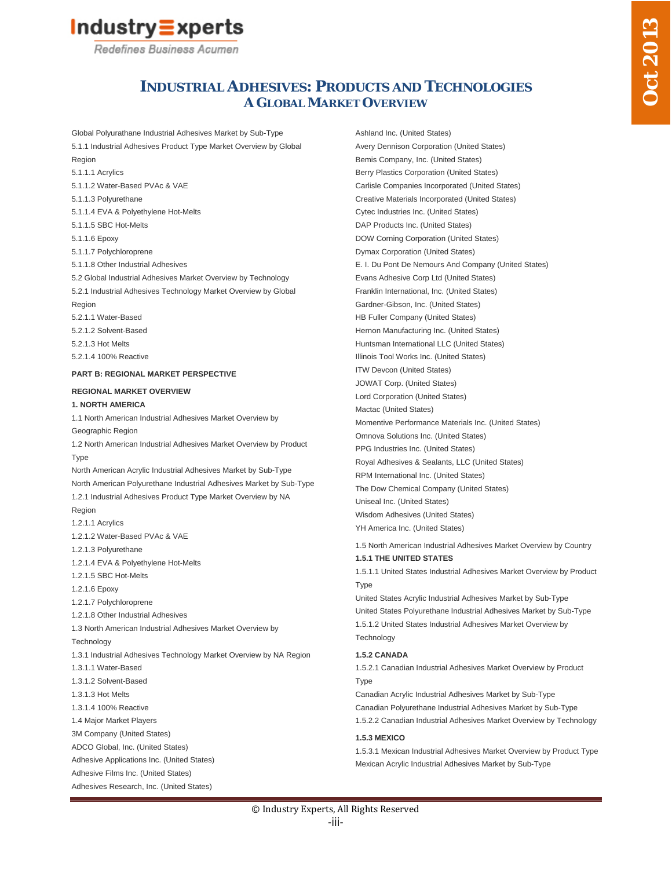

Redefines Business Acumen

# **INDUSTRIAL ADHESIVES: PRODUCTS AND TECHNOLOGIES A GLOBAL MARKET OVERVIEW**

Global Polyurathane Industrial Adhesives Market by Sub-Type 5.1.1 Industrial Adhesives Product Type Market Overview by Global Region 5.1.1.1 Acrylics 5.1.1.2 Water-Based PVAc & VAE 5.1.1.3 Polyurethane 5.1.1.4 EVA & Polyethylene Hot-Melts 5.1.1.5 SBC Hot-Melts 5.1.1.6 Epoxy 5.1.1.7 Polychloroprene 5.1.1.8 Other Industrial Adhesives 5.2 Global Industrial Adhesives Market Overview by Technology 5.2.1 Industrial Adhesives Technology Market Overview by Global Region 5.2.1.1 Water-Based 5.2.1.2 Solvent-Based 5.2.1.3 Hot Melts 5.2.1.4 100% Reactive **PART B: REGIONAL MARKET PERSPECTIVE REGIONAL MARKET OVERVIEW 1. NORTH AMERICA** 1.1 North American Industrial Adhesives Market Overview by Geographic Region 1.2 North American Industrial Adhesives Market Overview by Product **Type** North American Acrylic Industrial Adhesives Market by Sub-Type North American Polyurethane Industrial Adhesives Market by Sub-Type 1.2.1 Industrial Adhesives Product Type Market Overview by NA Region 1.2.1.1 Acrylics 1.2.1.2 Water-Based PVAc & VAE 1.2.1.3 Polyurethane 1.2.1.4 EVA & Polyethylene Hot-Melts 1.2.1.5 SBC Hot-Melts

1.2.1.6 Epoxy

- 1.2.1.7 Polychloroprene
- 1.2.1.8 Other Industrial Adhesives

1.3 North American Industrial Adhesives Market Overview by

**Technology** 

- 1.3.1 Industrial Adhesives Technology Market Overview by NA Region
- 1.3.1.1 Water-Based
- 1.3.1.2 Solvent-Based
- 1.3.1.3 Hot Melts
- 1.3.1.4 100% Reactive
- 1.4 Major Market Players
- 3M Company (United States)
- ADCO Global, Inc. (United States)
- Adhesive Applications Inc. (United States)
- Adhesive Films Inc. (United States)

```
Adhesives Research, Inc. (United States)
```
Ashland Inc. (United States) Avery Dennison Corporation (United States) Bemis Company, Inc. (United States) Berry Plastics Corporation (United States) Carlisle Companies Incorporated (United States) Creative Materials Incorporated (United States) Cytec Industries Inc. (United States) DAP Products Inc. (United States) DOW Corning Corporation (United States) Dymax Corporation (United States) E. I. Du Pont De Nemours And Company (United States) Evans Adhesive Corp Ltd (United States) Franklin International, Inc. (United States) Gardner-Gibson, Inc. (United States) HB Fuller Company (United States) Hernon Manufacturing Inc. (United States) Huntsman International LLC (United States) Illinois Tool Works Inc. (United States) ITW Devcon (United States) JOWAT Corp. (United States) Lord Corporation (United States) Mactac (United States) Momentive Performance Materials Inc. (United States) Omnova Solutions Inc. (United States) PPG Industries Inc. (United States) Royal Adhesives & Sealants, LLC (United States) RPM International Inc. (United States) The Dow Chemical Company (United States) Uniseal Inc. (United States)

Wisdom Adhesives (United States)

YH America Inc. (United States)

1.5 North American Industrial Adhesives Market Overview by Country **1.5.1 THE UNITED STATES**

1.5.1.1 United States Industrial Adhesives Market Overview by Product **T**<sub>vpe</sub>

United States Acrylic Industrial Adhesives Market by Sub-Type United States Polyurethane Industrial Adhesives Market by Sub-Type 1.5.1.2 United States Industrial Adhesives Market Overview by **Technology** 

#### **1.5.2 CANADA**

1.5.2.1 Canadian Industrial Adhesives Market Overview by Product **T**<sub>vpe</sub>

Canadian Acrylic Industrial Adhesives Market by Sub-Type Canadian Polyurethane Industrial Adhesives Market by Sub-Type 1.5.2.2 Canadian Industrial Adhesives Market Overview by Technology

#### **1.5.3 MEXICO**

1.5.3.1 Mexican Industrial Adhesives Market Overview by Product Type Mexican Acrylic Industrial Adhesives Market by Sub-Type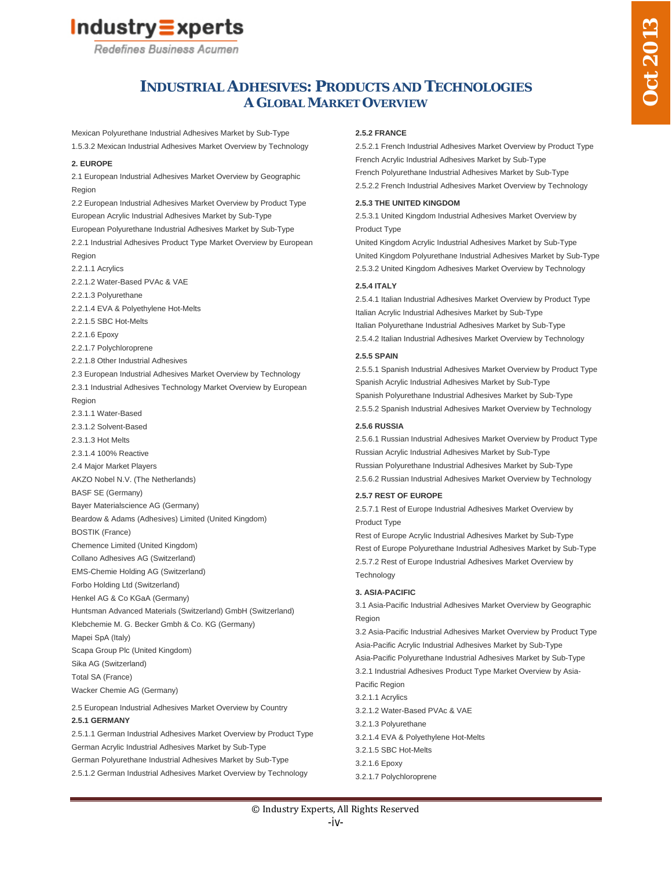# Industry $\equiv$ xperts

Redefines Business Acumen

# **INDUSTRIAL ADHESIVES: PRODUCTS AND TECHNOLOGIES A GLOBAL MARKET OVERVIEW**

Mexican Polyurethane Industrial Adhesives Market by Sub-Type 1.5.3.2 Mexican Industrial Adhesives Market Overview by Technology

#### **2. EUROPE**

2.1 European Industrial Adhesives Market Overview by Geographic Region 2.2 European Industrial Adhesives Market Overview by Product Type European Acrylic Industrial Adhesives Market by Sub-Type European Polyurethane Industrial Adhesives Market by Sub-Type 2.2.1 Industrial Adhesives Product Type Market Overview by European Region 2.2.1.1 Acrylics 2.2.1.2 Water-Based PVAc & VAE 2.2.1.3 Polyurethane 2.2.1.4 EVA & Polyethylene Hot-Melts 2.2.1.5 SBC Hot-Melts 2.2.1.6 Epoxy 2.2.1.7 Polychloroprene 2.2.1.8 Other Industrial Adhesives 2.3 European Industrial Adhesives Market Overview by Technology 2.3.1 Industrial Adhesives Technology Market Overview by European Region 2.3.1.1 Water-Based 2.3.1.2 Solvent-Based 2.3.1.3 Hot Melts 2.3.1.4 100% Reactive 2.4 Major Market Players AKZO Nobel N.V. (The Netherlands) BASF SE (Germany) Bayer Materialscience AG (Germany) Beardow & Adams (Adhesives) Limited (United Kingdom) BOSTIK (France) Chemence Limited (United Kingdom) Collano Adhesives AG (Switzerland) EMS-Chemie Holding AG (Switzerland) Forbo Holding Ltd (Switzerland) Henkel AG & Co KGaA (Germany) Huntsman Advanced Materials (Switzerland) GmbH (Switzerland) Klebchemie M. G. Becker Gmbh & Co. KG (Germany) Mapei SpA (Italy) Scapa Group Plc (United Kingdom) Sika AG (Switzerland) Total SA (France) Wacker Chemie AG (Germany)

2.5 European Industrial Adhesives Market Overview by Country **2.5.1 GERMANY** 2.5.1.1 German Industrial Adhesives Market Overview by Product Type

German Acrylic Industrial Adhesives Market by Sub-Type German Polyurethane Industrial Adhesives Market by Sub-Type 2.5.1.2 German Industrial Adhesives Market Overview by Technology

#### **2.5.2 FRANCE**

2.5.2.1 French Industrial Adhesives Market Overview by Product Type French Acrylic Industrial Adhesives Market by Sub-Type French Polyurethane Industrial Adhesives Market by Sub-Type 2.5.2.2 French Industrial Adhesives Market Overview by Technology

#### **2.5.3 THE UNITED KINGDOM**

2.5.3.1 United Kingdom Industrial Adhesives Market Overview by Product Type

United Kingdom Acrylic Industrial Adhesives Market by Sub-Type United Kingdom Polyurethane Industrial Adhesives Market by Sub-Type 2.5.3.2 United Kingdom Adhesives Market Overview by Technology

#### **2.5.4 ITALY**

2.5.4.1 Italian Industrial Adhesives Market Overview by Product Type Italian Acrylic Industrial Adhesives Market by Sub-Type Italian Polyurethane Industrial Adhesives Market by Sub-Type 2.5.4.2 Italian Industrial Adhesives Market Overview by Technology

#### **2.5.5 SPAIN**

2.5.5.1 Spanish Industrial Adhesives Market Overview by Product Type Spanish Acrylic Industrial Adhesives Market by Sub-Type Spanish Polyurethane Industrial Adhesives Market by Sub-Type 2.5.5.2 Spanish Industrial Adhesives Market Overview by Technology

#### **2.5.6 RUSSIA**

2.5.6.1 Russian Industrial Adhesives Market Overview by Product Type Russian Acrylic Industrial Adhesives Market by Sub-Type Russian Polyurethane Industrial Adhesives Market by Sub-Type 2.5.6.2 Russian Industrial Adhesives Market Overview by Technology

### **2.5.7 REST OF EUROPE**

2.5.7.1 Rest of Europe Industrial Adhesives Market Overview by Product Type

Rest of Europe Acrylic Industrial Adhesives Market by Sub-Type Rest of Europe Polyurethane Industrial Adhesives Market by Sub-Type 2.5.7.2 Rest of Europe Industrial Adhesives Market Overview by **Technology** 

### **3. ASIA-PACIFIC**

3.1 Asia-Pacific Industrial Adhesives Market Overview by Geographic Region

3.2 Asia-Pacific Industrial Adhesives Market Overview by Product Type Asia-Pacific Acrylic Industrial Adhesives Market by Sub-Type Asia-Pacific Polyurethane Industrial Adhesives Market by Sub-Type 3.2.1 Industrial Adhesives Product Type Market Overview by Asia-Pacific Region 3.2.1.1 Acrylics 3.2.1.2 Water-Based PVAc & VAE 3.2.1.3 Polyurethane 3.2.1.4 EVA & Polyethylene Hot-Melts

3.2.1.5 SBC Hot-Melts

3.2.1.7 Polychloroprene

<sup>3.2.1.6</sup> Epoxy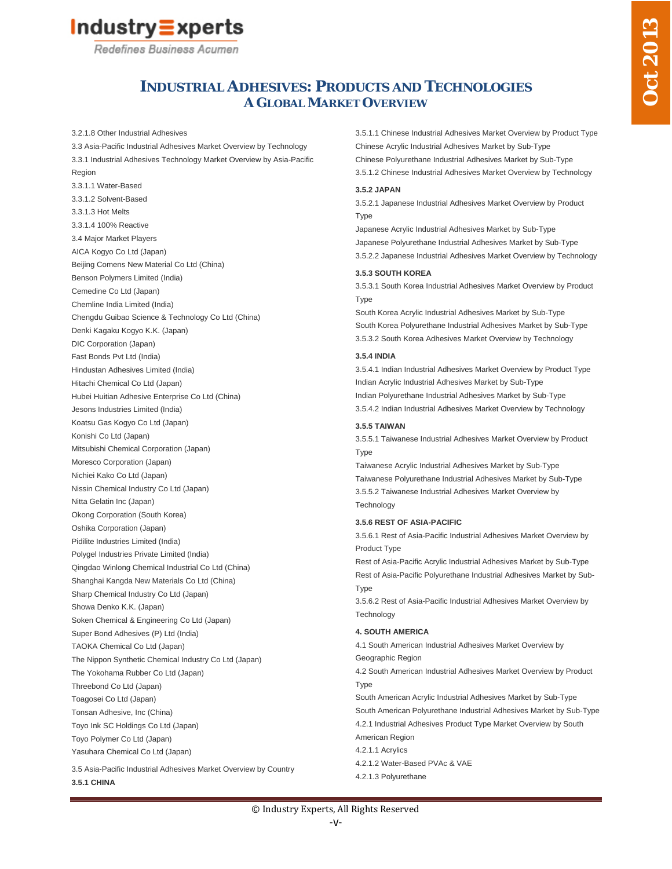# Industry $\equiv$ xperts

Redefines Business Acumen

# **INDUSTRIAL ADHESIVES: PRODUCTS AND TECHNOLOGIES A GLOBAL MARKET OVERVIEW**

3.2.1.8 Other Industrial Adhesives

3.3 Asia-Pacific Industrial Adhesives Market Overview by Technology 3.3.1 Industrial Adhesives Technology Market Overview by Asia-Pacific Region 3.3.1.1 Water-Based 3.3.1.2 Solvent-Based 3.3.1.3 Hot Melts 3.3.1.4 100% Reactive 3.4 Major Market Players AICA Kogyo Co Ltd (Japan) Beijing Comens New Material Co Ltd (China) Benson Polymers Limited (India) Cemedine Co Ltd (Japan) Chemline India Limited (India) Chengdu Guibao Science & Technology Co Ltd (China) Denki Kagaku Kogyo K.K. (Japan) DIC Corporation (Japan) Fast Bonds Pvt Ltd (India) Hindustan Adhesives Limited (India) Hitachi Chemical Co Ltd (Japan) Hubei Huitian Adhesive Enterprise Co Ltd (China) Jesons Industries Limited (India) Koatsu Gas Kogyo Co Ltd (Japan) Konishi Co Ltd (Japan) Mitsubishi Chemical Corporation (Japan) Moresco Corporation (Japan) Nichiei Kako Co Ltd (Japan) Nissin Chemical Industry Co Ltd (Japan) Nitta Gelatin Inc (Japan) Okong Corporation (South Korea) Oshika Corporation (Japan) Pidilite Industries Limited (India) Polygel Industries Private Limited (India) Qingdao Winlong Chemical Industrial Co Ltd (China) Shanghai Kangda New Materials Co Ltd (China) Sharp Chemical Industry Co Ltd (Japan) Showa Denko K.K. (Japan) Soken Chemical & Engineering Co Ltd (Japan) Super Bond Adhesives (P) Ltd (India) TAOKA Chemical Co Ltd (Japan) The Nippon Synthetic Chemical Industry Co Ltd (Japan) The Yokohama Rubber Co Ltd (Japan) Threebond Co Ltd (Japan) Toagosei Co Ltd (Japan) Tonsan Adhesive, Inc (China) Toyo Ink SC Holdings Co Ltd (Japan) Toyo Polymer Co Ltd (Japan) Yasuhara Chemical Co Ltd (Japan)

3.5 Asia-Pacific Industrial Adhesives Market Overview by Country **3.5.1 CHINA**

3.5.1.1 Chinese Industrial Adhesives Market Overview by Product Type Chinese Acrylic Industrial Adhesives Market by Sub-Type Chinese Polyurethane Industrial Adhesives Market by Sub-Type 3.5.1.2 Chinese Industrial Adhesives Market Overview by Technology

#### **3.5.2 JAPAN**

3.5.2.1 Japanese Industrial Adhesives Market Overview by Product Type

Japanese Acrylic Industrial Adhesives Market by Sub-Type Japanese Polyurethane Industrial Adhesives Market by Sub-Type 3.5.2.2 Japanese Industrial Adhesives Market Overview by Technology

#### **3.5.3 SOUTH KOREA**

3.5.3.1 South Korea Industrial Adhesives Market Overview by Product **Type** 

South Korea Acrylic Industrial Adhesives Market by Sub-Type South Korea Polyurethane Industrial Adhesives Market by Sub-Type 3.5.3.2 South Korea Adhesives Market Overview by Technology

#### **3.5.4 INDIA**

3.5.4.1 Indian Industrial Adhesives Market Overview by Product Type Indian Acrylic Industrial Adhesives Market by Sub-Type Indian Polyurethane Industrial Adhesives Market by Sub-Type 3.5.4.2 Indian Industrial Adhesives Market Overview by Technology

#### **3.5.5 TAIWAN**

3.5.5.1 Taiwanese Industrial Adhesives Market Overview by Product **T**<sub>vpe</sub>

Taiwanese Acrylic Industrial Adhesives Market by Sub-Type Taiwanese Polyurethane Industrial Adhesives Market by Sub-Type 3.5.5.2 Taiwanese Industrial Adhesives Market Overview by **Technology** 

### **3.5.6 REST OF ASIA-PACIFIC**

3.5.6.1 Rest of Asia-Pacific Industrial Adhesives Market Overview by Product Type

Rest of Asia-Pacific Acrylic Industrial Adhesives Market by Sub-Type Rest of Asia-Pacific Polyurethane Industrial Adhesives Market by Sub-**T**<sub>vpe</sub>

3.5.6.2 Rest of Asia-Pacific Industrial Adhesives Market Overview by **Technology** 

### **4. SOUTH AMERICA**

4.1 South American Industrial Adhesives Market Overview by Geographic Region

4.2 South American Industrial Adhesives Market Overview by Product Type

South American Acrylic Industrial Adhesives Market by Sub-Type South American Polyurethane Industrial Adhesives Market by Sub-Type 4.2.1 Industrial Adhesives Product Type Market Overview by South American Region

4.2.1.1 Acrylics

4.2.1.2 Water-Based PVAc & VAE

4.2.1.3 Polyurethane